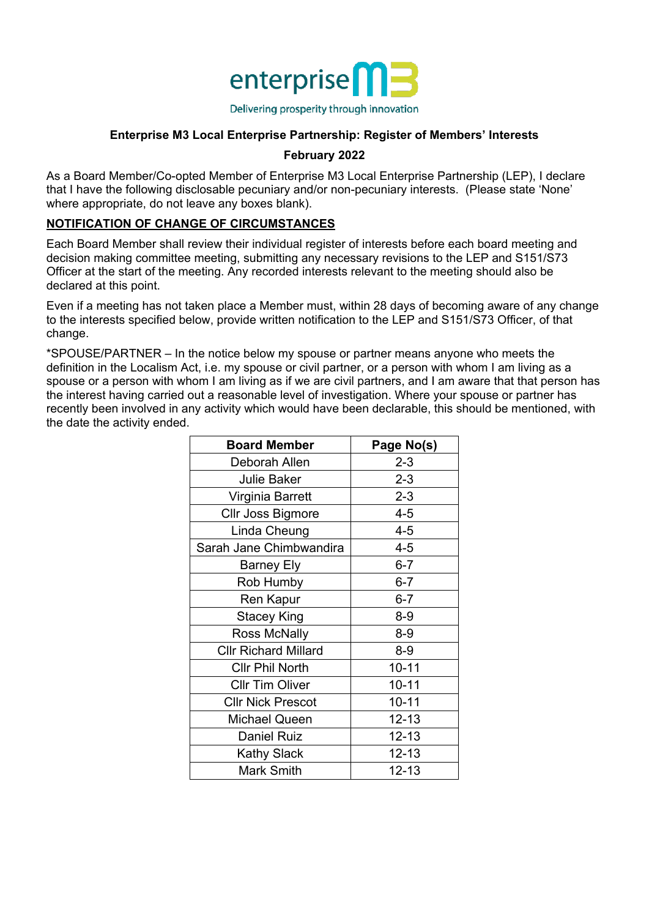

#### **Enterprise M3 Local Enterprise Partnership: Register of Members' Interests**

#### **February 2022**

As a Board Member/Co-opted Member of Enterprise M3 Local Enterprise Partnership (LEP), I declare that I have the following disclosable pecuniary and/or non-pecuniary interests. (Please state 'None' where appropriate, do not leave any boxes blank).

#### **NOTIFICATION OF CHANGE OF CIRCUMSTANCES**

Each Board Member shall review their individual register of interests before each board meeting and decision making committee meeting, submitting any necessary revisions to the LEP and S151/S73 Officer at the start of the meeting. Any recorded interests relevant to the meeting should also be declared at this point.

Even if a meeting has not taken place a Member must, within 28 days of becoming aware of any change to the interests specified below, provide written notification to the LEP and S151/S73 Officer, of that change.

\*SPOUSE/PARTNER – In the notice below my spouse or partner means anyone who meets the definition in the Localism Act, i.e. my spouse or civil partner, or a person with whom I am living as a spouse or a person with whom I am living as if we are civil partners, and I am aware that that person has the interest having carried out a reasonable level of investigation. Where your spouse or partner has recently been involved in any activity which would have been declarable, this should be mentioned, with the date the activity ended.

| <b>Board Member</b>         | Page No(s) |
|-----------------------------|------------|
| Deborah Allen               | $2 - 3$    |
| <b>Julie Baker</b>          | $2 - 3$    |
| Virginia Barrett            | $2 - 3$    |
| Cllr Joss Bigmore           | $4 - 5$    |
| Linda Cheung                | $4 - 5$    |
| Sarah Jane Chimbwandira     | $4 - 5$    |
| Barney Ely                  | $6 - 7$    |
| Rob Humby                   | $6 - 7$    |
| Ren Kapur                   | $6 - 7$    |
| <b>Stacey King</b>          | 8-9        |
| <b>Ross McNally</b>         | $8 - 9$    |
| <b>CIIr Richard Millard</b> | $8 - 9$    |
| <b>Cllr Phil North</b>      | $10 - 11$  |
| <b>CIIr Tim Oliver</b>      | $10 - 11$  |
| <b>Cllr Nick Prescot</b>    | $10 - 11$  |
| Michael Queen               | $12 - 13$  |
| <b>Daniel Ruiz</b>          | $12 - 13$  |
| <b>Kathy Slack</b>          | $12 - 13$  |
| <b>Mark Smith</b>           | $12 - 13$  |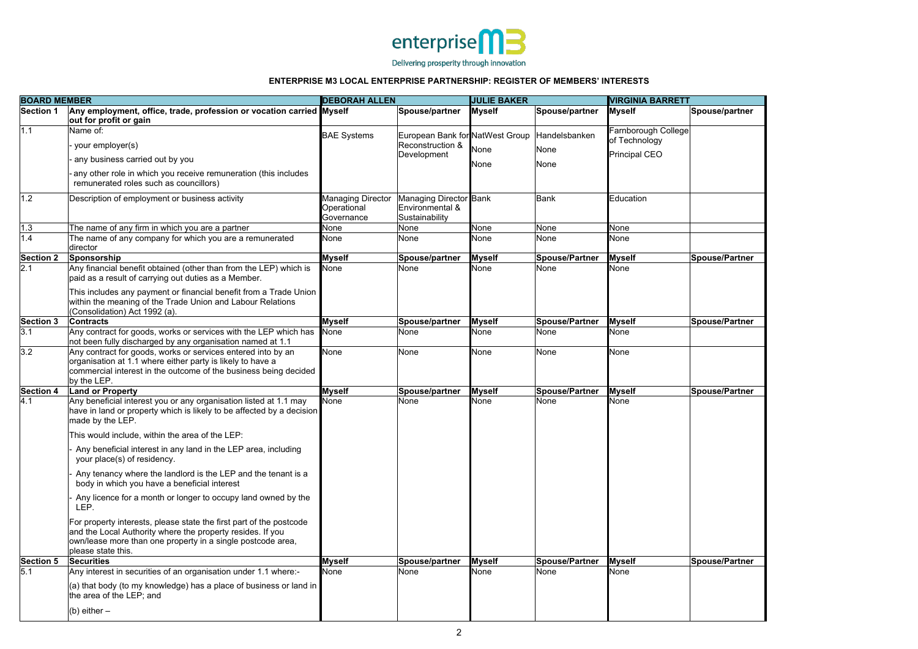

Delivering prosperity through innovation



| <b>BOARD MEMBER</b> |                                                                                                                                                                                                                                                                                                                                                                                                                                                                                                      | <b>DEBORAH ALLEN</b>                           |                                                                    | <b>JULIE BAKER</b>  |                               | <b>VIRGINIA BARRETT</b>                                      |                       |  |
|---------------------|------------------------------------------------------------------------------------------------------------------------------------------------------------------------------------------------------------------------------------------------------------------------------------------------------------------------------------------------------------------------------------------------------------------------------------------------------------------------------------------------------|------------------------------------------------|--------------------------------------------------------------------|---------------------|-------------------------------|--------------------------------------------------------------|-----------------------|--|
| <b>Section 1</b>    | Any employment, office, trade, profession or vocation carried Myself<br>out for profit or gain                                                                                                                                                                                                                                                                                                                                                                                                       |                                                | Spouse/partner                                                     | <b>Myself</b>       | Spouse/partner                | <b>Myself</b>                                                | Spouse/partner        |  |
| 1.1                 | Name of:<br>your employer(s)<br>any business carried out by you<br>any other role in which you receive remuneration (this includes<br>remunerated roles such as councillors)                                                                                                                                                                                                                                                                                                                         | <b>BAE Systems</b>                             | European Bank for NatWest Group<br>Reconstruction &<br>Development | None<br><b>None</b> | Handelsbanken<br>None<br>None | Farnborough College<br>of Technology<br><b>Principal CEO</b> |                       |  |
| 1.2                 | Description of employment or business activity                                                                                                                                                                                                                                                                                                                                                                                                                                                       | Managing Director<br>Operational<br>Governance | Managing Director Bank<br>Environmental &<br>Sustainability        |                     | <b>Bank</b>                   | Education                                                    |                       |  |
| $1.3$               | The name of any firm in which you are a partner                                                                                                                                                                                                                                                                                                                                                                                                                                                      | None                                           | None                                                               | None                | None                          | <b>None</b>                                                  |                       |  |
| 1.4                 | The name of any company for which you are a remunerated<br>director                                                                                                                                                                                                                                                                                                                                                                                                                                  | None                                           | None                                                               | <b>None</b>         | None                          | <b>None</b>                                                  |                       |  |
| <b>Section 2</b>    | Sponsorship                                                                                                                                                                                                                                                                                                                                                                                                                                                                                          | <b>Myself</b>                                  | Spouse/partner                                                     | <b>Myself</b>       | Spouse/Partner                | <b>Myself</b>                                                | Spouse/Partner        |  |
| 2.1                 | Any financial benefit obtained (other than from the LEP) which is<br>paid as a result of carrying out duties as a Member.<br>This includes any payment or financial benefit from a Trade Union<br>within the meaning of the Trade Union and Labour Relations<br>(Consolidation) Act 1992 (a).                                                                                                                                                                                                        | None                                           | None                                                               | <b>None</b>         | None                          | None                                                         |                       |  |
| Section 3           | <b>Contracts</b>                                                                                                                                                                                                                                                                                                                                                                                                                                                                                     | <b>Myself</b>                                  | Spouse/partner                                                     | <b>Myself</b>       | Spouse/Partner                | <b>Myself</b>                                                | Spouse/Partner        |  |
| 3.1                 | Any contract for goods, works or services with the LEP which has<br>not been fully discharged by any organisation named at 1.1                                                                                                                                                                                                                                                                                                                                                                       | None                                           | None                                                               | None                | None                          | None                                                         |                       |  |
| 3.2                 | Any contract for goods, works or services entered into by an<br>organisation at 1.1 where either party is likely to have a<br>commercial interest in the outcome of the business being decided<br>by the LEP.                                                                                                                                                                                                                                                                                        | None                                           | None                                                               | None                | None                          | None                                                         |                       |  |
| Section 4           | <b>Land or Property</b>                                                                                                                                                                                                                                                                                                                                                                                                                                                                              | <b>Myself</b>                                  | Spouse/partner                                                     | <b>Myself</b>       | Spouse/Partner                | <b>Myself</b>                                                | <b>Spouse/Partner</b> |  |
| 4.1                 | Any beneficial interest you or any organisation listed at 1.1 may<br>have in land or property which is likely to be affected by a decision<br>made by the LEP.<br>This would include, within the area of the LEP:<br>Any beneficial interest in any land in the LEP area, including<br>your place(s) of residency.<br>Any tenancy where the landlord is the LEP and the tenant is a<br>body in which you have a beneficial interest<br>Any licence for a month or longer to occupy land owned by the | <b>None</b>                                    | None                                                               | None                | None                          | None                                                         |                       |  |
|                     | LEP.<br>For property interests, please state the first part of the postcode<br>and the Local Authority where the property resides. If you<br>own/lease more than one property in a single postcode area,<br>please state this.                                                                                                                                                                                                                                                                       |                                                |                                                                    |                     |                               |                                                              |                       |  |
| <b>Section 5</b>    | <b>Securities</b>                                                                                                                                                                                                                                                                                                                                                                                                                                                                                    | <b>Myself</b>                                  | Spouse/partner                                                     | <b>Myself</b>       | Spouse/Partner                | <b>Myself</b>                                                | Spouse/Partner        |  |
| 5.1                 | Any interest in securities of an organisation under 1.1 where:-<br>$(a)$ that body (to my knowledge) has a place of business or land in<br>the area of the LEP; and<br>(b) either $-$                                                                                                                                                                                                                                                                                                                | None                                           | None                                                               | None                | None                          | None                                                         |                       |  |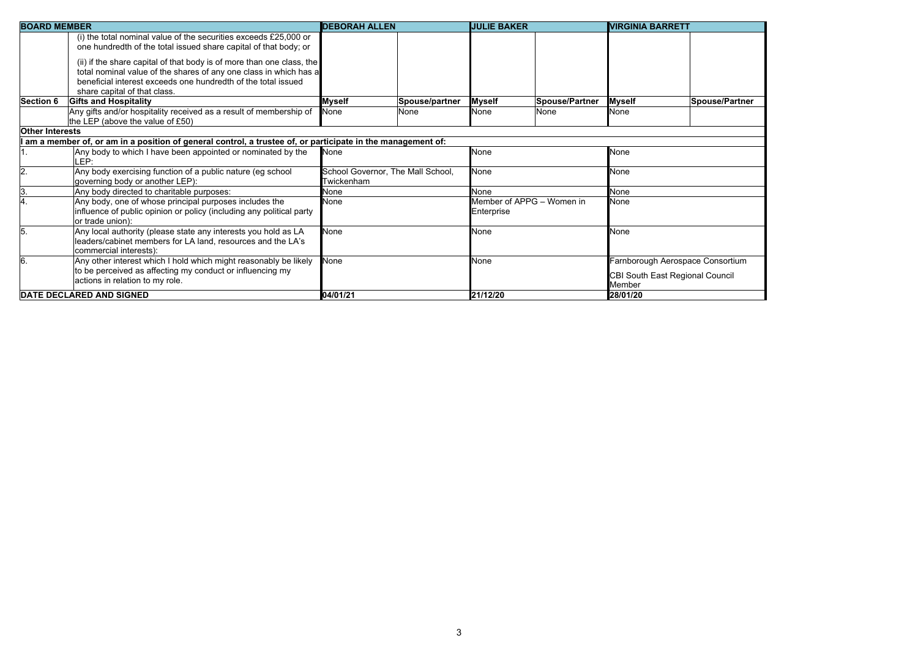| <b>BOARD MEMBER</b>    |                                                                                                                                                                                                                                                                                                                                                     | <b>DEBORAH ALLEN</b>                            |                | <b>JULIE BAKER</b>                      |                       | <b>VIRGINIA BARRETT</b>                                                              |                       |
|------------------------|-----------------------------------------------------------------------------------------------------------------------------------------------------------------------------------------------------------------------------------------------------------------------------------------------------------------------------------------------------|-------------------------------------------------|----------------|-----------------------------------------|-----------------------|--------------------------------------------------------------------------------------|-----------------------|
|                        | (i) the total nominal value of the securities exceeds £25,000 or<br>one hundredth of the total issued share capital of that body; or<br>(ii) if the share capital of that body is of more than one class, the<br>total nominal value of the shares of any one class in which has a<br>beneficial interest exceeds one hundredth of the total issued |                                                 |                |                                         |                       |                                                                                      |                       |
|                        | share capital of that class.                                                                                                                                                                                                                                                                                                                        |                                                 |                |                                         |                       |                                                                                      |                       |
| <b>Section 6</b>       | <b>Gifts and Hospitality</b>                                                                                                                                                                                                                                                                                                                        | <b>Myself</b>                                   | Spouse/partner | <b>Myself</b>                           | <b>Spouse/Partner</b> | <b>Myself</b>                                                                        | <b>Spouse/Partner</b> |
|                        | Any gifts and/or hospitality received as a result of membership of<br>the LEP (above the value of £50)                                                                                                                                                                                                                                              | <b>None</b>                                     | None           | <b>None</b>                             | None                  | <b>None</b>                                                                          |                       |
| <b>Other Interests</b> |                                                                                                                                                                                                                                                                                                                                                     |                                                 |                |                                         |                       |                                                                                      |                       |
|                        | am a member of, or am in a position of general control, a trustee of, or participate in the management of:                                                                                                                                                                                                                                          |                                                 |                |                                         |                       |                                                                                      |                       |
|                        | Any body to which I have been appointed or nominated by the<br>LEP:                                                                                                                                                                                                                                                                                 | None                                            |                | <b>None</b>                             |                       | <b>None</b>                                                                          |                       |
| 2.                     | Any body exercising function of a public nature (eg school<br>governing body or another LEP):                                                                                                                                                                                                                                                       | School Governor, The Mall School,<br>Twickenham |                | None                                    |                       | <b>None</b>                                                                          |                       |
| 3.                     | Any body directed to charitable purposes:                                                                                                                                                                                                                                                                                                           | None                                            |                | None                                    |                       | None                                                                                 |                       |
| 4.                     | Any body, one of whose principal purposes includes the<br>influence of public opinion or policy (including any political party<br>or trade union):                                                                                                                                                                                                  | None                                            |                | Member of APPG - Women in<br>Enterprise |                       | <b>None</b>                                                                          |                       |
| 5.                     | Any local authority (please state any interests you hold as LA<br>leaders/cabinet members for LA land, resources and the LA's<br>commercial interests):                                                                                                                                                                                             | None                                            |                | <b>None</b>                             |                       | None                                                                                 |                       |
| 6.                     | Any other interest which I hold which might reasonably be likely<br>to be perceived as affecting my conduct or influencing my<br>actions in relation to my role.                                                                                                                                                                                    | None                                            |                | <b>None</b>                             |                       | Farnborough Aerospace Consortium<br><b>CBI South East Regional Council</b><br>Member |                       |
|                        | <b>DATE DECLARED AND SIGNED</b>                                                                                                                                                                                                                                                                                                                     | 04/01/21                                        |                | 21/12/20                                |                       | 28/01/20                                                                             |                       |

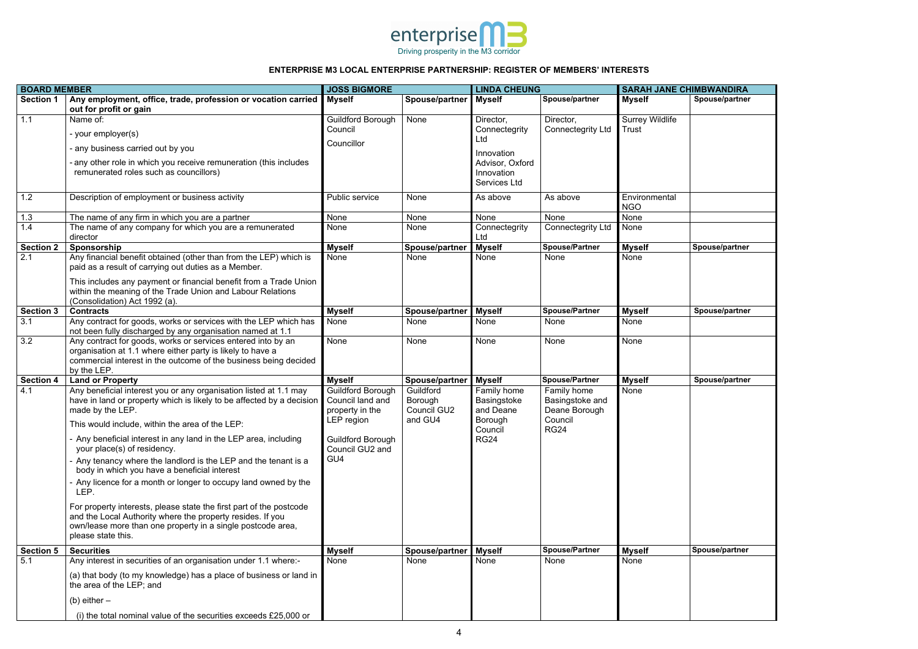| MBWANDIRA<br>Spouse/partner |
|-----------------------------|
|                             |
|                             |
|                             |
|                             |
|                             |
|                             |
|                             |
|                             |
|                             |
|                             |
| Spouse/partner              |
|                             |
|                             |
|                             |
| Spouse/partner              |
|                             |
|                             |
|                             |
|                             |
| Spouse/partner              |
|                             |
|                             |
|                             |
|                             |
|                             |
|                             |
|                             |
|                             |
|                             |
|                             |
| Spouse/partner              |
|                             |
|                             |
|                             |
|                             |



| <b>BOARD MEMBER</b> |                                                                                                                                                                                                                                                                                                                                                                                                                                                                                                                                                                                                                                                                                                                                              | <b>JOSS BIGMORE</b>                                                                                                          |                                                | <b>LINDA CHEUNG</b>                                                                                     |                                                                           | <b>SARAH JANE CHIMBWANDIRA</b>         |                |  |
|---------------------|----------------------------------------------------------------------------------------------------------------------------------------------------------------------------------------------------------------------------------------------------------------------------------------------------------------------------------------------------------------------------------------------------------------------------------------------------------------------------------------------------------------------------------------------------------------------------------------------------------------------------------------------------------------------------------------------------------------------------------------------|------------------------------------------------------------------------------------------------------------------------------|------------------------------------------------|---------------------------------------------------------------------------------------------------------|---------------------------------------------------------------------------|----------------------------------------|----------------|--|
| <b>Section 1</b>    | Any employment, office, trade, profession or vocation carried<br>out for profit or gain                                                                                                                                                                                                                                                                                                                                                                                                                                                                                                                                                                                                                                                      | <b>Myself</b>                                                                                                                | Spouse/partner                                 | <b>Myself</b>                                                                                           | Spouse/partner                                                            | <b>Myself</b>                          | Spouse/partner |  |
| 1.1                 | Name of:<br>- your employer(s)<br>- any business carried out by you<br>- any other role in which you receive remuneration (this includes<br>remunerated roles such as councillors)                                                                                                                                                                                                                                                                                                                                                                                                                                                                                                                                                           | <b>Guildford Borough</b><br>Council<br>Councillor                                                                            | None                                           | Director,<br>Connectegrity<br>Ltd<br>Innovation<br>Advisor, Oxford<br>Innovation<br><b>Services Ltd</b> | Director,<br><b>Connectegrity Ltd</b>                                     | <b>Surrey Wildlife</b><br><b>Trust</b> |                |  |
| 1.2                 | Description of employment or business activity                                                                                                                                                                                                                                                                                                                                                                                                                                                                                                                                                                                                                                                                                               | Public service                                                                                                               | None                                           | As above                                                                                                | As above                                                                  | Environmental<br><b>NGO</b>            |                |  |
| 1.3                 | The name of any firm in which you are a partner                                                                                                                                                                                                                                                                                                                                                                                                                                                                                                                                                                                                                                                                                              | None                                                                                                                         | None                                           | None                                                                                                    | None                                                                      | None                                   |                |  |
| 1.4                 | The name of any company for which you are a remunerated<br>director                                                                                                                                                                                                                                                                                                                                                                                                                                                                                                                                                                                                                                                                          | None                                                                                                                         | None                                           | Connectegrity<br>Ltd                                                                                    | <b>Connectegrity Ltd</b>                                                  | None                                   |                |  |
| <b>Section 2</b>    | Sponsorship                                                                                                                                                                                                                                                                                                                                                                                                                                                                                                                                                                                                                                                                                                                                  | <b>Myself</b>                                                                                                                | Spouse/partner                                 | <b>Myself</b>                                                                                           | <b>Spouse/Partner</b>                                                     | <b>Myself</b>                          | Spouse/partner |  |
| 2.1                 | Any financial benefit obtained (other than from the LEP) which is<br>paid as a result of carrying out duties as a Member.<br>This includes any payment or financial benefit from a Trade Union<br>within the meaning of the Trade Union and Labour Relations<br>(Consolidation) Act 1992 (a).                                                                                                                                                                                                                                                                                                                                                                                                                                                | None                                                                                                                         | None                                           | None                                                                                                    | None                                                                      | None                                   |                |  |
| <b>Section 3</b>    | <b>Contracts</b>                                                                                                                                                                                                                                                                                                                                                                                                                                                                                                                                                                                                                                                                                                                             | <b>Myself</b>                                                                                                                | Spouse/partner                                 | <b>Myself</b>                                                                                           | <b>Spouse/Partner</b>                                                     | <b>Myself</b>                          | Spouse/partner |  |
| 3.1                 | Any contract for goods, works or services with the LEP which has<br>not been fully discharged by any organisation named at 1.1                                                                                                                                                                                                                                                                                                                                                                                                                                                                                                                                                                                                               | None                                                                                                                         | None                                           | None                                                                                                    | None                                                                      | None                                   |                |  |
| 3.2                 | Any contract for goods, works or services entered into by an<br>organisation at 1.1 where either party is likely to have a<br>commercial interest in the outcome of the business being decided<br>by the LEP.                                                                                                                                                                                                                                                                                                                                                                                                                                                                                                                                | None                                                                                                                         | None                                           | None                                                                                                    | None                                                                      | None                                   |                |  |
| <b>Section 4</b>    | <b>Land or Property</b>                                                                                                                                                                                                                                                                                                                                                                                                                                                                                                                                                                                                                                                                                                                      | <b>Myself</b>                                                                                                                | Spouse/partner                                 | <b>Myself</b>                                                                                           | <b>Spouse/Partner</b>                                                     | <b>Myself</b>                          | Spouse/partner |  |
| 4.1                 | Any beneficial interest you or any organisation listed at 1.1 may<br>have in land or property which is likely to be affected by a decision<br>made by the LEP.<br>This would include, within the area of the LEP:<br>- Any beneficial interest in any land in the LEP area, including<br>your place(s) of residency.<br>- Any tenancy where the landlord is the LEP and the tenant is a<br>body in which you have a beneficial interest<br>- Any licence for a month or longer to occupy land owned by the<br>LEP.<br>For property interests, please state the first part of the postcode<br>and the Local Authority where the property resides. If you<br>own/lease more than one property in a single postcode area,<br>please state this. | Guildford Borough<br>Council land and<br>property in the<br>LEP region<br><b>Guildford Borough</b><br>Council GU2 and<br>GU4 | Guildford<br>Borough<br>Council GU2<br>and GU4 | Family home<br>Basingstoke<br>and Deane<br>Borough<br>Council<br><b>RG24</b>                            | Family home<br>Basingstoke and<br>Deane Borough<br>Council<br><b>RG24</b> | None                                   |                |  |
| <b>Section 5</b>    | <b>Securities</b>                                                                                                                                                                                                                                                                                                                                                                                                                                                                                                                                                                                                                                                                                                                            | <b>Myself</b>                                                                                                                | Spouse/partner                                 | <b>Myself</b>                                                                                           | <b>Spouse/Partner</b>                                                     | <b>Myself</b>                          | Spouse/partner |  |
| 5.1                 | Any interest in securities of an organisation under 1.1 where:-<br>(a) that body (to my knowledge) has a place of business or land in<br>the area of the LEP; and                                                                                                                                                                                                                                                                                                                                                                                                                                                                                                                                                                            | None                                                                                                                         | None                                           | None                                                                                                    | None                                                                      | None                                   |                |  |
|                     | (b) either $-$                                                                                                                                                                                                                                                                                                                                                                                                                                                                                                                                                                                                                                                                                                                               |                                                                                                                              |                                                |                                                                                                         |                                                                           |                                        |                |  |
|                     | (i) the total nominal value of the securities exceeds £25,000 or                                                                                                                                                                                                                                                                                                                                                                                                                                                                                                                                                                                                                                                                             |                                                                                                                              |                                                |                                                                                                         |                                                                           |                                        |                |  |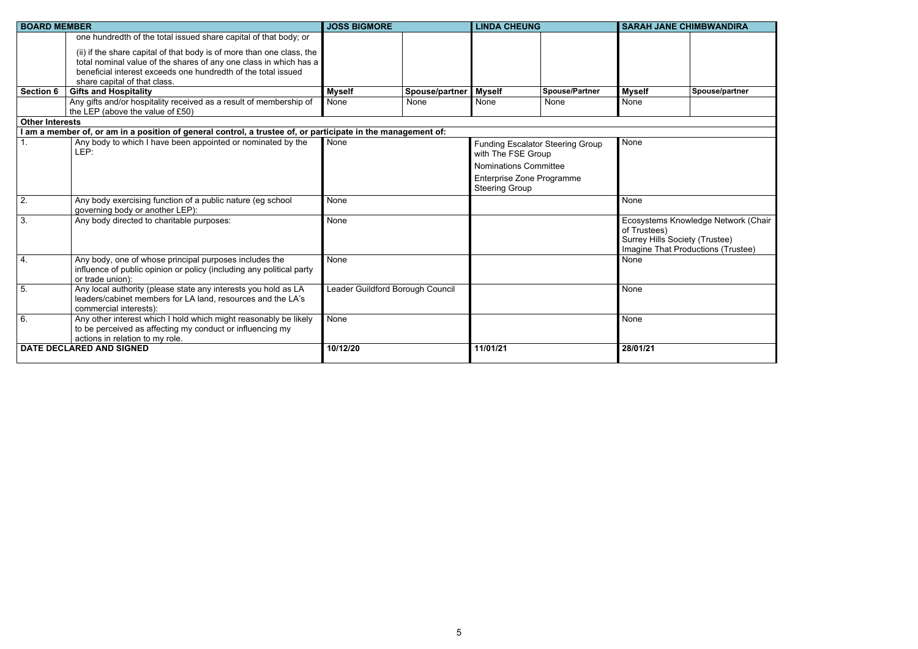| <b>IMBWANDIRA</b>    |  |
|----------------------|--|
|                      |  |
|                      |  |
|                      |  |
|                      |  |
|                      |  |
|                      |  |
| Spouse/partner       |  |
|                      |  |
|                      |  |
|                      |  |
|                      |  |
|                      |  |
|                      |  |
|                      |  |
|                      |  |
|                      |  |
|                      |  |
| ledge Network (Chair |  |
|                      |  |
| y (Trustee)          |  |
| uctions (Trustee)    |  |
|                      |  |
|                      |  |
|                      |  |
|                      |  |
|                      |  |
|                      |  |
|                      |  |
|                      |  |
|                      |  |
|                      |  |

| <b>BOARD MEMBER</b>    |                                                                                                                                                                                                                                                                                                                                                 | <b>JOSS BIGMORE</b>              |                | <b>LINDA CHEUNG</b>                                                                                             |                                         | <b>SARAH JANE CHIMBWANDIRA</b>                        |                                                                           |
|------------------------|-------------------------------------------------------------------------------------------------------------------------------------------------------------------------------------------------------------------------------------------------------------------------------------------------------------------------------------------------|----------------------------------|----------------|-----------------------------------------------------------------------------------------------------------------|-----------------------------------------|-------------------------------------------------------|---------------------------------------------------------------------------|
| <b>Section 6</b>       | one hundredth of the total issued share capital of that body; or<br>(ii) if the share capital of that body is of more than one class, the<br>total nominal value of the shares of any one class in which has a<br>beneficial interest exceeds one hundredth of the total issued<br>share capital of that class.<br><b>Gifts and Hospitality</b> | <b>Myself</b>                    | Spouse/partner | <b>Myself</b>                                                                                                   | <b>Spouse/Partner</b>                   | <b>Myself</b>                                         | Spouse/partner                                                            |
|                        | Any gifts and/or hospitality received as a result of membership of                                                                                                                                                                                                                                                                              | None                             | None           | None                                                                                                            | None                                    | None                                                  |                                                                           |
|                        | the LEP (above the value of £50)                                                                                                                                                                                                                                                                                                                |                                  |                |                                                                                                                 |                                         |                                                       |                                                                           |
| <b>Other Interests</b> |                                                                                                                                                                                                                                                                                                                                                 |                                  |                |                                                                                                                 |                                         |                                                       |                                                                           |
|                        | I am a member of, or am in a position of general control, a trustee of, or participate in the management of:                                                                                                                                                                                                                                    |                                  |                |                                                                                                                 |                                         |                                                       |                                                                           |
|                        | Any body to which I have been appointed or nominated by the<br>LEP:                                                                                                                                                                                                                                                                             | None                             |                | with The FSE Group<br><b>Nominations Committee</b><br><b>Enterprise Zone Programme</b><br><b>Steering Group</b> | <b>Funding Escalator Steering Group</b> | None                                                  |                                                                           |
| 2.                     | Any body exercising function of a public nature (eg school<br>governing body or another LEP):                                                                                                                                                                                                                                                   | None                             |                |                                                                                                                 |                                         | None                                                  |                                                                           |
| 3.                     | Any body directed to charitable purposes:                                                                                                                                                                                                                                                                                                       | None                             |                |                                                                                                                 |                                         | of Trustees)<br><b>Surrey Hills Society (Trustee)</b> | Ecosystems Knowledge Network (Chair<br>Imagine That Productions (Trustee) |
| 4.                     | Any body, one of whose principal purposes includes the<br>influence of public opinion or policy (including any political party<br>or trade union):                                                                                                                                                                                              | None                             |                |                                                                                                                 |                                         | None                                                  |                                                                           |
| 5.                     | Any local authority (please state any interests you hold as LA<br>leaders/cabinet members for LA land, resources and the LA's<br>commercial interests):                                                                                                                                                                                         | Leader Guildford Borough Council |                |                                                                                                                 |                                         | None                                                  |                                                                           |
| 6.                     | Any other interest which I hold which might reasonably be likely<br>to be perceived as affecting my conduct or influencing my<br>actions in relation to my role.                                                                                                                                                                                | None                             |                |                                                                                                                 |                                         | None                                                  |                                                                           |
|                        | DATE DECLARED AND SIGNED                                                                                                                                                                                                                                                                                                                        | 10/12/20                         |                | 11/01/21                                                                                                        |                                         | 28/01/21                                              |                                                                           |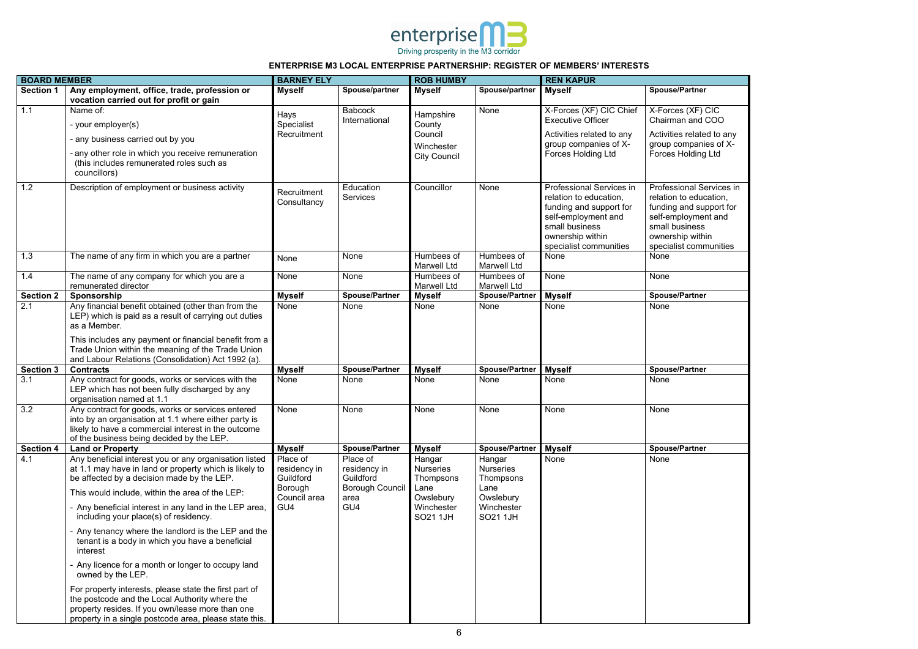

| <b>BOARD MEMBER</b> |                                                                                                                                                                                                                                                                                                                                                                                                                                                                                                                                                                                                                                                                                                                                               | <b>BARNEY ELY</b>                                                       |                                                                                | <b>ROB HUMBY</b>                                                                       |                                                                                               | <b>REN KAPUR</b>                                                                                                                                                     |                                                                                                                                                                      |  |
|---------------------|-----------------------------------------------------------------------------------------------------------------------------------------------------------------------------------------------------------------------------------------------------------------------------------------------------------------------------------------------------------------------------------------------------------------------------------------------------------------------------------------------------------------------------------------------------------------------------------------------------------------------------------------------------------------------------------------------------------------------------------------------|-------------------------------------------------------------------------|--------------------------------------------------------------------------------|----------------------------------------------------------------------------------------|-----------------------------------------------------------------------------------------------|----------------------------------------------------------------------------------------------------------------------------------------------------------------------|----------------------------------------------------------------------------------------------------------------------------------------------------------------------|--|
| <b>Section 1</b>    | Any employment, office, trade, profession or<br>vocation carried out for profit or gain                                                                                                                                                                                                                                                                                                                                                                                                                                                                                                                                                                                                                                                       | <b>Myself</b>                                                           | Spouse/partner                                                                 | <b>Myself</b>                                                                          | Spouse/partner                                                                                | <b>Myself</b>                                                                                                                                                        | <b>Spouse/Partner</b>                                                                                                                                                |  |
| 1.1                 | Name of:                                                                                                                                                                                                                                                                                                                                                                                                                                                                                                                                                                                                                                                                                                                                      | Hays                                                                    | <b>Babcock</b>                                                                 | Hampshire                                                                              | None                                                                                          | X-Forces (XF) CIC Chief                                                                                                                                              | X-Forces (XF) CIC                                                                                                                                                    |  |
|                     | - your employer(s)                                                                                                                                                                                                                                                                                                                                                                                                                                                                                                                                                                                                                                                                                                                            | Specialist                                                              | International                                                                  | County                                                                                 |                                                                                               | <b>Executive Officer</b>                                                                                                                                             | Chairman and COO                                                                                                                                                     |  |
|                     | any business carried out by you                                                                                                                                                                                                                                                                                                                                                                                                                                                                                                                                                                                                                                                                                                               | Recruitment                                                             |                                                                                | Council                                                                                |                                                                                               | Activities related to any<br>group companies of X-                                                                                                                   | Activities related to any<br>group companies of X-                                                                                                                   |  |
|                     | any other role in which you receive remuneration<br>(this includes remunerated roles such as<br>councillors)                                                                                                                                                                                                                                                                                                                                                                                                                                                                                                                                                                                                                                  |                                                                         |                                                                                | Winchester<br><b>City Council</b>                                                      |                                                                                               | <b>Forces Holding Ltd</b>                                                                                                                                            | <b>Forces Holding Ltd</b>                                                                                                                                            |  |
| 1.2                 | Description of employment or business activity                                                                                                                                                                                                                                                                                                                                                                                                                                                                                                                                                                                                                                                                                                | Recruitment<br>Consultancy                                              | Education<br>Services                                                          | Councillor                                                                             | None                                                                                          | Professional Services in<br>relation to education,<br>funding and support for<br>self-employment and<br>small business<br>ownership within<br>specialist communities | Professional Services in<br>relation to education,<br>funding and support for<br>self-employment and<br>small business<br>ownership within<br>specialist communities |  |
| 1.3                 | The name of any firm in which you are a partner                                                                                                                                                                                                                                                                                                                                                                                                                                                                                                                                                                                                                                                                                               | None                                                                    | None                                                                           | Humbees of                                                                             | Humbees of                                                                                    | None                                                                                                                                                                 | None                                                                                                                                                                 |  |
| 1.4                 | The name of any company for which you are a                                                                                                                                                                                                                                                                                                                                                                                                                                                                                                                                                                                                                                                                                                   | None                                                                    | None                                                                           | <b>Marwell Ltd</b><br>Humbees of                                                       | <b>Marwell Ltd</b><br>Humbees of                                                              | None                                                                                                                                                                 | None                                                                                                                                                                 |  |
|                     | remunerated director                                                                                                                                                                                                                                                                                                                                                                                                                                                                                                                                                                                                                                                                                                                          |                                                                         |                                                                                | <b>Marwell Ltd</b>                                                                     | <b>Marwell Ltd</b>                                                                            |                                                                                                                                                                      |                                                                                                                                                                      |  |
| <b>Section 2</b>    | Sponsorship                                                                                                                                                                                                                                                                                                                                                                                                                                                                                                                                                                                                                                                                                                                                   | <b>Myself</b>                                                           | <b>Spouse/Partner</b>                                                          | <b>Myself</b>                                                                          | <b>Spouse/Partner</b>                                                                         | <b>Myself</b>                                                                                                                                                        | <b>Spouse/Partner</b>                                                                                                                                                |  |
| 2.1                 | Any financial benefit obtained (other than from the<br>LEP) which is paid as a result of carrying out duties<br>as a Member.<br>This includes any payment or financial benefit from a<br>Trade Union within the meaning of the Trade Union<br>and Labour Relations (Consolidation) Act 1992 (a).                                                                                                                                                                                                                                                                                                                                                                                                                                              | None                                                                    | None                                                                           | None                                                                                   | None                                                                                          | None                                                                                                                                                                 | None                                                                                                                                                                 |  |
| <b>Section 3</b>    | <b>Contracts</b>                                                                                                                                                                                                                                                                                                                                                                                                                                                                                                                                                                                                                                                                                                                              | <b>Myself</b>                                                           | <b>Spouse/Partner</b>                                                          | <b>Myself</b>                                                                          | <b>Spouse/Partner</b>                                                                         | <b>Myself</b>                                                                                                                                                        | <b>Spouse/Partner</b>                                                                                                                                                |  |
| 3.1                 | Any contract for goods, works or services with the<br>LEP which has not been fully discharged by any<br>organisation named at 1.1                                                                                                                                                                                                                                                                                                                                                                                                                                                                                                                                                                                                             | None                                                                    | None                                                                           | None                                                                                   | None                                                                                          | None                                                                                                                                                                 | None                                                                                                                                                                 |  |
| 3.2                 | Any contract for goods, works or services entered<br>into by an organisation at 1.1 where either party is<br>likely to have a commercial interest in the outcome<br>of the business being decided by the LEP.                                                                                                                                                                                                                                                                                                                                                                                                                                                                                                                                 | None                                                                    | None                                                                           | None                                                                                   | None                                                                                          | None                                                                                                                                                                 | None                                                                                                                                                                 |  |
| <b>Section 4</b>    | <b>Land or Property</b>                                                                                                                                                                                                                                                                                                                                                                                                                                                                                                                                                                                                                                                                                                                       | <b>Myself</b>                                                           | <b>Spouse/Partner</b>                                                          | <b>Myself</b>                                                                          | <b>Spouse/Partner</b>                                                                         | <b>Myself</b>                                                                                                                                                        | <b>Spouse/Partner</b>                                                                                                                                                |  |
| 4.1                 | Any beneficial interest you or any organisation listed<br>at 1.1 may have in land or property which is likely to<br>be affected by a decision made by the LEP.<br>This would include, within the area of the LEP:<br>- Any beneficial interest in any land in the LEP area,<br>including your place(s) of residency.<br>- Any tenancy where the landlord is the LEP and the<br>tenant is a body in which you have a beneficial<br>interest<br>Any licence for a month or longer to occupy land<br>owned by the LEP.<br>For property interests, please state the first part of<br>the postcode and the Local Authority where the<br>property resides. If you own/lease more than one<br>property in a single postcode area, please state this. | Place of<br>residency in<br>Guildford<br>Borough<br>Council area<br>GU4 | Place of<br>residency in<br>Guildford<br><b>Borough Council</b><br>area<br>GU4 | Hangar<br><b>Nurseries</b><br>Thompsons<br>Lane<br>Owslebury<br>Winchester<br>SO21 1JH | Hangar<br><b>Nurseries</b><br>Thompsons<br>Lane<br>Owslebury<br>Winchester<br><b>SO21 1JH</b> | None                                                                                                                                                                 | None                                                                                                                                                                 |  |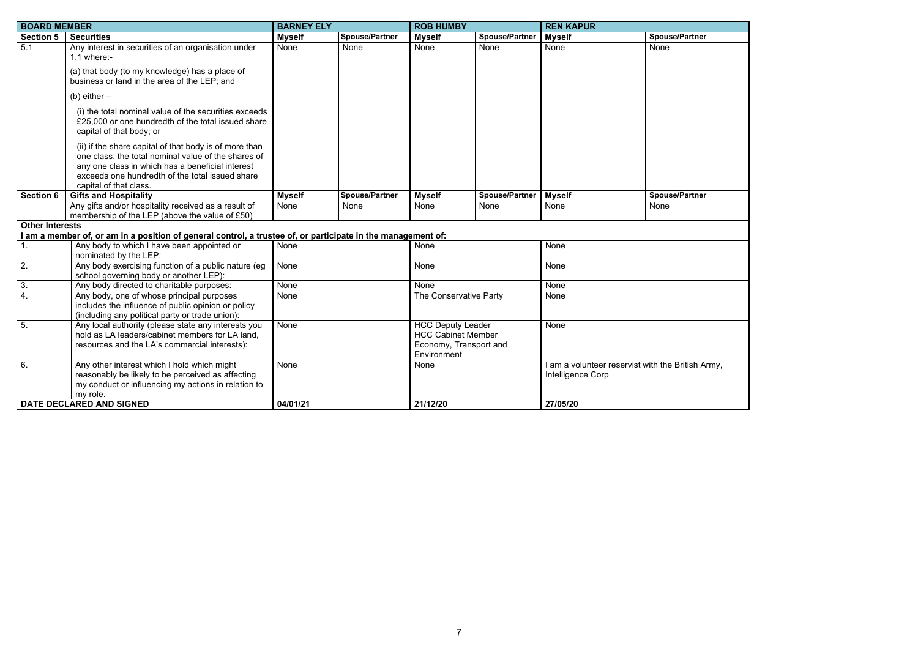

| <b>BOARD MEMBER</b>    |                                                                                                                                                                                                                                                | <b>BARNEY ELY</b> |                       | <b>ROB HUMBY</b>                                                                               |                       | <b>REN KAPUR</b>                                                       |                       |
|------------------------|------------------------------------------------------------------------------------------------------------------------------------------------------------------------------------------------------------------------------------------------|-------------------|-----------------------|------------------------------------------------------------------------------------------------|-----------------------|------------------------------------------------------------------------|-----------------------|
| <b>Section 5</b>       | <b>Securities</b>                                                                                                                                                                                                                              | <b>Myself</b>     | <b>Spouse/Partner</b> | <b>Myself</b>                                                                                  | <b>Spouse/Partner</b> | <b>Myself</b>                                                          | <b>Spouse/Partner</b> |
| 5.1                    | Any interest in securities of an organisation under<br>$1.1$ where:-                                                                                                                                                                           | None              | None                  | None                                                                                           | None                  | None                                                                   | None                  |
|                        | (a) that body (to my knowledge) has a place of<br>business or land in the area of the LEP; and                                                                                                                                                 |                   |                       |                                                                                                |                       |                                                                        |                       |
|                        | (b) either $-$                                                                                                                                                                                                                                 |                   |                       |                                                                                                |                       |                                                                        |                       |
|                        | (i) the total nominal value of the securities exceeds<br>£25,000 or one hundredth of the total issued share<br>capital of that body; or                                                                                                        |                   |                       |                                                                                                |                       |                                                                        |                       |
|                        | (ii) if the share capital of that body is of more than<br>one class, the total nominal value of the shares of<br>any one class in which has a beneficial interest<br>exceeds one hundredth of the total issued share<br>capital of that class. |                   |                       |                                                                                                |                       |                                                                        |                       |
| <b>Section 6</b>       | <b>Gifts and Hospitality</b>                                                                                                                                                                                                                   | <b>Myself</b>     | <b>Spouse/Partner</b> | <b>Myself</b>                                                                                  | <b>Spouse/Partner</b> | <b>Myself</b>                                                          | <b>Spouse/Partner</b> |
|                        | Any gifts and/or hospitality received as a result of<br>membership of the LEP (above the value of £50)                                                                                                                                         | None              | None                  | None                                                                                           | <b>None</b>           | None                                                                   | <b>None</b>           |
| <b>Other Interests</b> |                                                                                                                                                                                                                                                |                   |                       |                                                                                                |                       |                                                                        |                       |
|                        | I am a member of, or am in a position of general control, a trustee of, or participate in the management of:                                                                                                                                   |                   |                       |                                                                                                |                       |                                                                        |                       |
| 1.                     | Any body to which I have been appointed or<br>nominated by the LEP:                                                                                                                                                                            | None              |                       | None                                                                                           |                       | None                                                                   |                       |
| 2.                     | Any body exercising function of a public nature (eg<br>school governing body or another LEP):                                                                                                                                                  | None              |                       | None                                                                                           |                       | None                                                                   |                       |
| 3.                     | Any body directed to charitable purposes:                                                                                                                                                                                                      | None              |                       | None                                                                                           |                       | None                                                                   |                       |
| $\overline{4}$ .       | Any body, one of whose principal purposes<br>includes the influence of public opinion or policy<br>(including any political party or trade union):                                                                                             | None              |                       | The Conservative Party                                                                         |                       | None                                                                   |                       |
| $\overline{5}$ .       | Any local authority (please state any interests you<br>hold as LA leaders/cabinet members for LA land,<br>resources and the LA's commercial interests):                                                                                        | None              |                       | <b>HCC Deputy Leader</b><br><b>HCC Cabinet Member</b><br>Economy, Transport and<br>Environment |                       | None                                                                   |                       |
| 6.                     | Any other interest which I hold which might<br>reasonably be likely to be perceived as affecting<br>my conduct or influencing my actions in relation to<br>my role.                                                                            | None              |                       | None                                                                                           |                       | I am a volunteer reservist with the British Army,<br>Intelligence Corp |                       |
|                        | DATE DECLARED AND SIGNED                                                                                                                                                                                                                       | 04/01/21          |                       | 21/12/20                                                                                       |                       | 27/05/20                                                               |                       |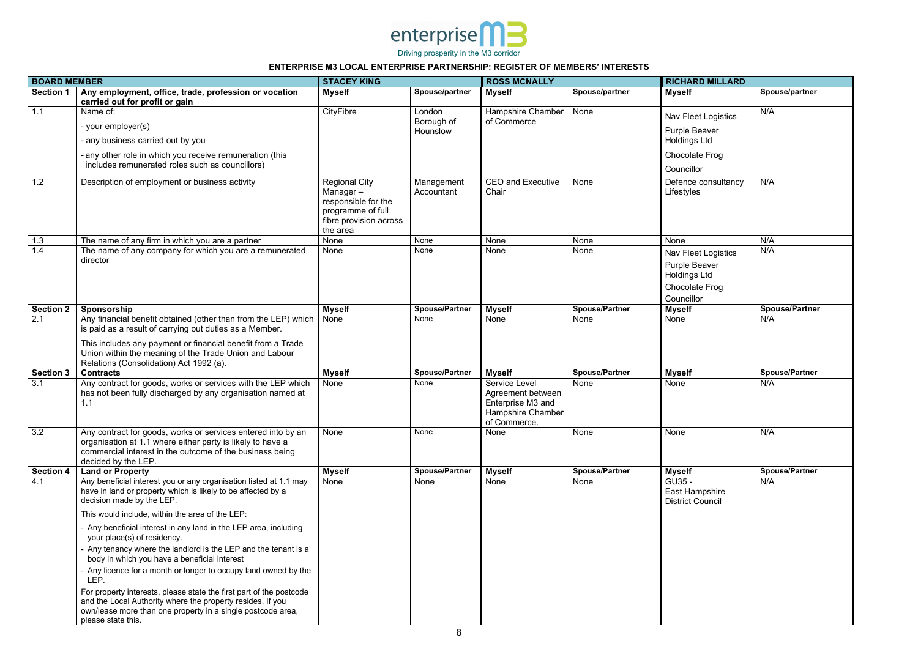

|                  | <b>BOARD MEMBER</b>                                                                                                                                                                                                                                                                                                                                                                                                                                                                                                                                                                                                                                                                                                                    |                                                                                                                    | <b>STACEY KING</b>       |                                                                                                     |                       | <b>RICHARD MILLARD</b>                                                                      |                       |  |
|------------------|----------------------------------------------------------------------------------------------------------------------------------------------------------------------------------------------------------------------------------------------------------------------------------------------------------------------------------------------------------------------------------------------------------------------------------------------------------------------------------------------------------------------------------------------------------------------------------------------------------------------------------------------------------------------------------------------------------------------------------------|--------------------------------------------------------------------------------------------------------------------|--------------------------|-----------------------------------------------------------------------------------------------------|-----------------------|---------------------------------------------------------------------------------------------|-----------------------|--|
| <b>Section 1</b> | Any employment, office, trade, profession or vocation<br>carried out for profit or gain                                                                                                                                                                                                                                                                                                                                                                                                                                                                                                                                                                                                                                                | <b>Myself</b>                                                                                                      | Spouse/partner           | <b>Myself</b>                                                                                       | Spouse/partner        | <b>Myself</b>                                                                               | Spouse/partner        |  |
| 1.1              | Name of:                                                                                                                                                                                                                                                                                                                                                                                                                                                                                                                                                                                                                                                                                                                               | CityFibre                                                                                                          | London                   | Hampshire Chamber                                                                                   | None                  | Nav Fleet Logistics                                                                         | N/A                   |  |
|                  | - your employer(s)                                                                                                                                                                                                                                                                                                                                                                                                                                                                                                                                                                                                                                                                                                                     |                                                                                                                    | Borough of<br>Hounslow   | of Commerce                                                                                         |                       | Purple Beaver                                                                               |                       |  |
|                  | - any business carried out by you                                                                                                                                                                                                                                                                                                                                                                                                                                                                                                                                                                                                                                                                                                      |                                                                                                                    |                          |                                                                                                     |                       | <b>Holdings Ltd</b>                                                                         |                       |  |
|                  | - any other role in which you receive remuneration (this<br>includes remunerated roles such as councillors)                                                                                                                                                                                                                                                                                                                                                                                                                                                                                                                                                                                                                            |                                                                                                                    |                          |                                                                                                     |                       | Chocolate Frog                                                                              |                       |  |
|                  |                                                                                                                                                                                                                                                                                                                                                                                                                                                                                                                                                                                                                                                                                                                                        |                                                                                                                    |                          |                                                                                                     |                       | Councillor                                                                                  |                       |  |
| 1.2              | Description of employment or business activity                                                                                                                                                                                                                                                                                                                                                                                                                                                                                                                                                                                                                                                                                         | <b>Regional City</b><br>Manager-<br>responsible for the<br>programme of full<br>fibre provision across<br>the area | Management<br>Accountant | <b>CEO and Executive</b><br>Chair                                                                   | None                  | Defence consultancy<br>Lifestyles                                                           | N/A                   |  |
| 1.3              | The name of any firm in which you are a partner                                                                                                                                                                                                                                                                                                                                                                                                                                                                                                                                                                                                                                                                                        | None                                                                                                               | None                     | None                                                                                                | None                  | None                                                                                        | N/A                   |  |
| 1.4              | The name of any company for which you are a remunerated<br>director                                                                                                                                                                                                                                                                                                                                                                                                                                                                                                                                                                                                                                                                    | None                                                                                                               | None                     | None                                                                                                | None                  | Nav Fleet Logistics<br>Purple Beaver<br><b>Holdings Ltd</b><br>Chocolate Frog<br>Councillor | N/A                   |  |
| <b>Section 2</b> | Sponsorship                                                                                                                                                                                                                                                                                                                                                                                                                                                                                                                                                                                                                                                                                                                            | <b>Myself</b>                                                                                                      | <b>Spouse/Partner</b>    | <b>Myself</b>                                                                                       | <b>Spouse/Partner</b> | <b>Myself</b>                                                                               | <b>Spouse/Partner</b> |  |
| 2.1              | Any financial benefit obtained (other than from the LEP) which<br>is paid as a result of carrying out duties as a Member.<br>This includes any payment or financial benefit from a Trade<br>Union within the meaning of the Trade Union and Labour<br>Relations (Consolidation) Act 1992 (a).                                                                                                                                                                                                                                                                                                                                                                                                                                          | None                                                                                                               | None                     | None                                                                                                | None                  | None                                                                                        | N/A                   |  |
| <b>Section 3</b> | <b>Contracts</b>                                                                                                                                                                                                                                                                                                                                                                                                                                                                                                                                                                                                                                                                                                                       | <b>Myself</b>                                                                                                      | <b>Spouse/Partner</b>    | <b>Myself</b>                                                                                       | <b>Spouse/Partner</b> | <b>Myself</b>                                                                               | <b>Spouse/Partner</b> |  |
| 3.1              | Any contract for goods, works or services with the LEP which<br>has not been fully discharged by any organisation named at<br>1.1                                                                                                                                                                                                                                                                                                                                                                                                                                                                                                                                                                                                      | None                                                                                                               | None                     | Service Level<br>Agreement between<br><b>Enterprise M3 and</b><br>Hampshire Chamber<br>of Commerce. | None                  | None                                                                                        | N/A                   |  |
| 3.2              | Any contract for goods, works or services entered into by an<br>organisation at 1.1 where either party is likely to have a<br>commercial interest in the outcome of the business being<br>decided by the LEP.                                                                                                                                                                                                                                                                                                                                                                                                                                                                                                                          | None                                                                                                               | None                     | None                                                                                                | None                  | None                                                                                        | N/A                   |  |
| <b>Section 4</b> | <b>Land or Property</b>                                                                                                                                                                                                                                                                                                                                                                                                                                                                                                                                                                                                                                                                                                                | <b>Myself</b>                                                                                                      | <b>Spouse/Partner</b>    | <b>Myself</b>                                                                                       | <b>Spouse/Partner</b> | <b>Myself</b>                                                                               | <b>Spouse/Partner</b> |  |
| 4.1              | Any beneficial interest you or any organisation listed at 1.1 may<br>have in land or property which is likely to be affected by a<br>decision made by the LEP.<br>This would include, within the area of the LEP:<br>Any beneficial interest in any land in the LEP area, including<br>your place(s) of residency.<br>Any tenancy where the landlord is the LEP and the tenant is a<br>body in which you have a beneficial interest<br>Any licence for a month or longer to occupy land owned by the<br>LEP.<br>For property interests, please state the first part of the postcode<br>and the Local Authority where the property resides. If you<br>own/lease more than one property in a single postcode area,<br>please state this. | None                                                                                                               | None                     | None                                                                                                | None                  | GU35 -<br>East Hampshire<br><b>District Council</b>                                         | N/A                   |  |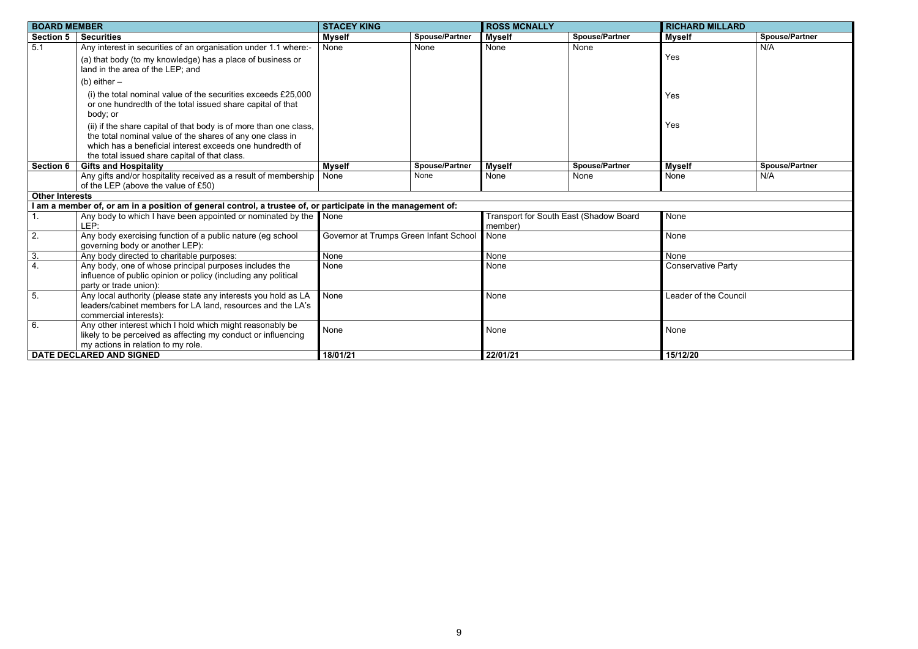| <b>RD MILLARD</b> |                       |
|-------------------|-----------------------|
|                   | <b>Spouse/Partner</b> |
|                   | N/A                   |
|                   | <b>Spouse/Partner</b> |
|                   | N/A                   |
|                   |                       |
|                   |                       |
|                   |                       |
|                   |                       |
|                   |                       |
|                   |                       |
| vative Party      |                       |
| of the Council    |                       |
|                   |                       |
| $\mathbf{0}$      |                       |
|                   |                       |

| <b>BOARD MEMBER</b>    |                                                                                                                                                                                                                                             | <b>STACEY KING</b>                     |                       | <b>ROSS MCNALLY</b> |                                        | <b>RICHARD MILLARD</b>    |                       |
|------------------------|---------------------------------------------------------------------------------------------------------------------------------------------------------------------------------------------------------------------------------------------|----------------------------------------|-----------------------|---------------------|----------------------------------------|---------------------------|-----------------------|
| <b>Section 5</b>       | <b>Securities</b>                                                                                                                                                                                                                           | <b>Myself</b>                          | <b>Spouse/Partner</b> | <b>Myself</b>       | <b>Spouse/Partner</b>                  | <b>Myself</b>             | <b>Spouse/Partner</b> |
| 5.1                    | Any interest in securities of an organisation under 1.1 where:-                                                                                                                                                                             | None                                   | None                  | None                | None                                   |                           | N/A                   |
|                        | (a) that body (to my knowledge) has a place of business or<br>land in the area of the LEP; and                                                                                                                                              |                                        |                       |                     |                                        | Yes                       |                       |
|                        | (b) either $-$                                                                                                                                                                                                                              |                                        |                       |                     |                                        |                           |                       |
|                        | (i) the total nominal value of the securities exceeds £25,000<br>or one hundredth of the total issued share capital of that<br>body; or                                                                                                     |                                        |                       |                     |                                        | Yes                       |                       |
|                        | (ii) if the share capital of that body is of more than one class,<br>the total nominal value of the shares of any one class in<br>which has a beneficial interest exceeds one hundredth of<br>the total issued share capital of that class. |                                        |                       |                     |                                        | Yes                       |                       |
| <b>Section 6</b>       | <b>Gifts and Hospitality</b>                                                                                                                                                                                                                | <b>Myself</b>                          | <b>Spouse/Partner</b> | <b>Myself</b>       | <b>Spouse/Partner</b>                  | <b>Myself</b>             | <b>Spouse/Partner</b> |
|                        | Any gifts and/or hospitality received as a result of membership<br>of the LEP (above the value of £50)                                                                                                                                      | None                                   | None                  | None                | None                                   | None                      | N/A                   |
| <b>Other Interests</b> |                                                                                                                                                                                                                                             |                                        |                       |                     |                                        |                           |                       |
|                        | I am a member of, or am in a position of general control, a trustee of, or participate in the management of:                                                                                                                                |                                        |                       |                     |                                        |                           |                       |
|                        | Any body to which I have been appointed or nominated by the None<br>LEP:                                                                                                                                                                    |                                        |                       | member)             | Transport for South East (Shadow Board | <b>None</b>               |                       |
| $\overline{2}$ .       | Any body exercising function of a public nature (eg school<br>governing body or another LEP):                                                                                                                                               | Governor at Trumps Green Infant School |                       | None                |                                        | None                      |                       |
| 3.                     | Any body directed to charitable purposes:                                                                                                                                                                                                   | None                                   |                       | None                |                                        | None                      |                       |
| $\overline{4}$ .       | Any body, one of whose principal purposes includes the<br>influence of public opinion or policy (including any political<br>party or trade union):                                                                                          | None                                   |                       | None                |                                        | <b>Conservative Party</b> |                       |
| 5.                     | Any local authority (please state any interests you hold as LA<br>leaders/cabinet members for LA land, resources and the LA's<br>commercial interests):                                                                                     | None                                   |                       | None                |                                        | Leader of the Council     |                       |
| 6.                     | Any other interest which I hold which might reasonably be<br>likely to be perceived as affecting my conduct or influencing<br>my actions in relation to my role.                                                                            | None                                   |                       | None                |                                        | None                      |                       |
|                        | DATE DECLARED AND SIGNED                                                                                                                                                                                                                    | 18/01/21                               |                       | 22/01/21            |                                        | 15/12/20                  |                       |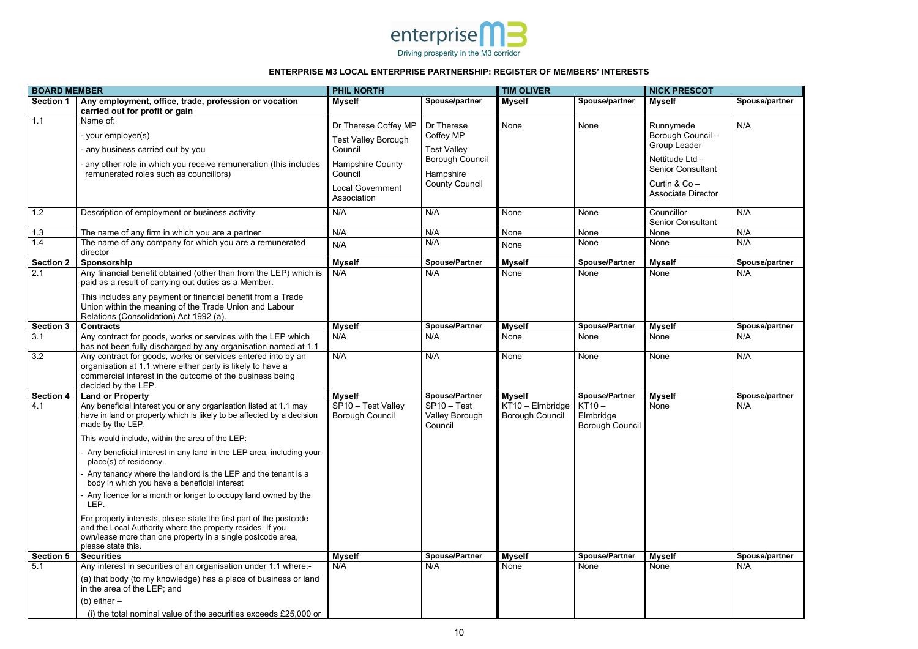

| <b>BOARD MEMBER</b> |                                                                                                                                                                                                                                                                                                                                                                                                                                                                                                                                                                                                                                                                                                                                              | <b>PHIL NORTH</b>                                                                                                                             |                                                                                                               | <b>TIM OLIVER</b>                          |                                          | <b>NICK PRESCOT</b>                                                                                                                         |                |
|---------------------|----------------------------------------------------------------------------------------------------------------------------------------------------------------------------------------------------------------------------------------------------------------------------------------------------------------------------------------------------------------------------------------------------------------------------------------------------------------------------------------------------------------------------------------------------------------------------------------------------------------------------------------------------------------------------------------------------------------------------------------------|-----------------------------------------------------------------------------------------------------------------------------------------------|---------------------------------------------------------------------------------------------------------------|--------------------------------------------|------------------------------------------|---------------------------------------------------------------------------------------------------------------------------------------------|----------------|
| <b>Section 1</b>    | Any employment, office, trade, profession or vocation<br>carried out for profit or gain                                                                                                                                                                                                                                                                                                                                                                                                                                                                                                                                                                                                                                                      | <b>Myself</b>                                                                                                                                 | Spouse/partner                                                                                                | <b>Myself</b>                              | Spouse/partner                           | <b>Myself</b>                                                                                                                               | Spouse/partner |
| 1.1                 | Name of:<br>- your employer(s)<br>- any business carried out by you<br>- any other role in which you receive remuneration (this includes<br>remunerated roles such as councillors)                                                                                                                                                                                                                                                                                                                                                                                                                                                                                                                                                           | Dr Therese Coffey MP<br><b>Test Valley Borough</b><br>Council<br><b>Hampshire County</b><br>Council<br><b>Local Government</b><br>Association | Dr Therese<br>Coffey MP<br><b>Test Valley</b><br><b>Borough Council</b><br>Hampshire<br><b>County Council</b> | None                                       | None                                     | Runnymede<br>Borough Council -<br>Group Leader<br>Nettitude Ltd -<br><b>Senior Consultant</b><br>Curtin & Co -<br><b>Associate Director</b> | N/A            |
| 1.2                 | Description of employment or business activity                                                                                                                                                                                                                                                                                                                                                                                                                                                                                                                                                                                                                                                                                               | N/A                                                                                                                                           | N/A                                                                                                           | None                                       | None                                     | Councillor<br><b>Senior Consultant</b>                                                                                                      | N/A            |
| 1.3                 | The name of any firm in which you are a partner                                                                                                                                                                                                                                                                                                                                                                                                                                                                                                                                                                                                                                                                                              | N/A                                                                                                                                           | N/A                                                                                                           | None                                       | None                                     | None                                                                                                                                        | N/A            |
| 1.4                 | The name of any company for which you are a remunerated<br>director                                                                                                                                                                                                                                                                                                                                                                                                                                                                                                                                                                                                                                                                          | N/A                                                                                                                                           | N/A                                                                                                           | None                                       | None                                     | None                                                                                                                                        | N/A            |
| <b>Section 2</b>    | Sponsorship                                                                                                                                                                                                                                                                                                                                                                                                                                                                                                                                                                                                                                                                                                                                  | <b>Myself</b>                                                                                                                                 | <b>Spouse/Partner</b>                                                                                         | <b>Myself</b>                              | <b>Spouse/Partner</b>                    | <b>Myself</b>                                                                                                                               | Spouse/partner |
| $\overline{2.1}$    | Any financial benefit obtained (other than from the LEP) which is<br>paid as a result of carrying out duties as a Member.<br>This includes any payment or financial benefit from a Trade<br>Union within the meaning of the Trade Union and Labour<br>Relations (Consolidation) Act 1992 (a).                                                                                                                                                                                                                                                                                                                                                                                                                                                | N/A                                                                                                                                           | N/A                                                                                                           | None                                       | None                                     | None                                                                                                                                        | N/A            |
| <b>Section 3</b>    | <b>Contracts</b>                                                                                                                                                                                                                                                                                                                                                                                                                                                                                                                                                                                                                                                                                                                             | <b>Myself</b>                                                                                                                                 | <b>Spouse/Partner</b>                                                                                         | <b>Myself</b>                              | <b>Spouse/Partner</b>                    | <b>Myself</b>                                                                                                                               | Spouse/partner |
| 3.1                 | Any contract for goods, works or services with the LEP which<br>has not been fully discharged by any organisation named at 1.1                                                                                                                                                                                                                                                                                                                                                                                                                                                                                                                                                                                                               | N/A                                                                                                                                           | N/A                                                                                                           | None                                       | None                                     | None                                                                                                                                        | N/A            |
| 3.2                 | Any contract for goods, works or services entered into by an<br>organisation at 1.1 where either party is likely to have a<br>commercial interest in the outcome of the business being<br>decided by the LEP.                                                                                                                                                                                                                                                                                                                                                                                                                                                                                                                                | N/A                                                                                                                                           | N/A                                                                                                           | None                                       | None                                     | None                                                                                                                                        | N/A            |
| <b>Section 4</b>    | <b>Land or Property</b>                                                                                                                                                                                                                                                                                                                                                                                                                                                                                                                                                                                                                                                                                                                      | <b>Myself</b>                                                                                                                                 | <b>Spouse/Partner</b>                                                                                         | <b>Myself</b>                              | <b>Spouse/Partner</b>                    | <b>Myself</b>                                                                                                                               | Spouse/partner |
| 4.1                 | Any beneficial interest you or any organisation listed at 1.1 may<br>have in land or property which is likely to be affected by a decision<br>made by the LEP.<br>This would include, within the area of the LEP:<br>- Any beneficial interest in any land in the LEP area, including your<br>place(s) of residency.<br>- Any tenancy where the landlord is the LEP and the tenant is a<br>body in which you have a beneficial interest<br>- Any licence for a month or longer to occupy land owned by the<br>LEP.<br>For property interests, please state the first part of the postcode<br>and the Local Authority where the property resides. If you<br>own/lease more than one property in a single postcode area,<br>please state this. | SP10 - Test Valley<br><b>Borough Council</b>                                                                                                  | $SP10 - Test$<br>Valley Borough<br>Council                                                                    | KT10 - Elmbridge<br><b>Borough Council</b> | $KT10 -$<br>Elmbridge<br>Borough Council | None                                                                                                                                        | N/A            |
| <b>Section 5</b>    | <b>Securities</b>                                                                                                                                                                                                                                                                                                                                                                                                                                                                                                                                                                                                                                                                                                                            | <b>Myself</b>                                                                                                                                 | <b>Spouse/Partner</b>                                                                                         | <b>Myself</b>                              | <b>Spouse/Partner</b>                    | <b>Myself</b>                                                                                                                               | Spouse/partner |
| 5.1                 | Any interest in securities of an organisation under 1.1 where:-<br>(a) that body (to my knowledge) has a place of business or land<br>in the area of the LEP; and<br>(b) either $-$<br>(i) the total nominal value of the securities exceeds £25,000 or                                                                                                                                                                                                                                                                                                                                                                                                                                                                                      | N/A                                                                                                                                           | N/A                                                                                                           | None                                       | None                                     | None                                                                                                                                        | N/A            |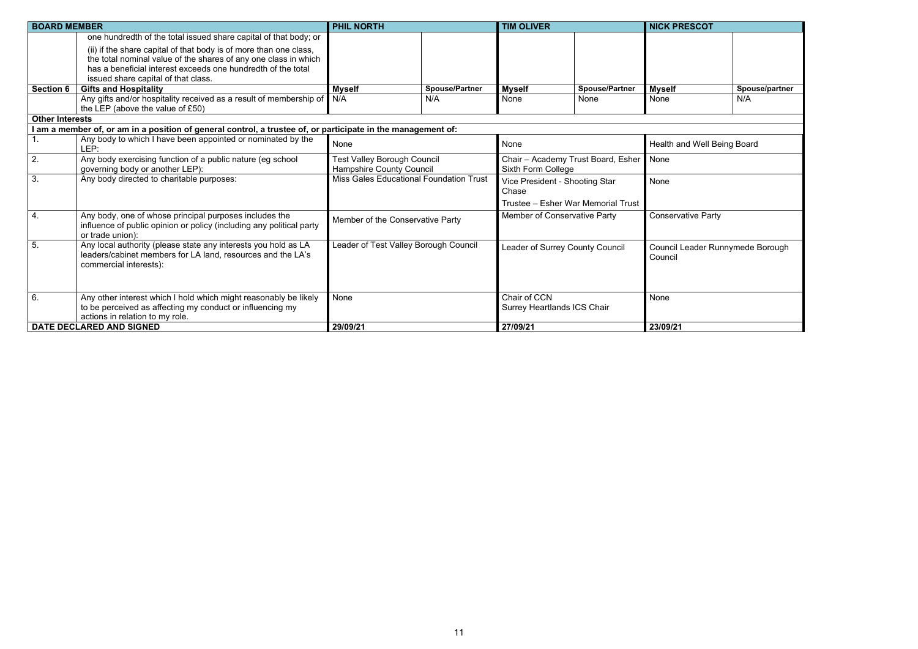| <b>BOARD MEMBER</b>    |                                                                                                                                                                                                                                             | <b>PHIL NORTH</b>                                                     |                       | <b>TIM OLIVER</b>                                        |                       | <b>NICK PRESCOT</b>                         |                |
|------------------------|---------------------------------------------------------------------------------------------------------------------------------------------------------------------------------------------------------------------------------------------|-----------------------------------------------------------------------|-----------------------|----------------------------------------------------------|-----------------------|---------------------------------------------|----------------|
|                        | one hundredth of the total issued share capital of that body; or                                                                                                                                                                            |                                                                       |                       |                                                          |                       |                                             |                |
|                        | (ii) if the share capital of that body is of more than one class,<br>the total nominal value of the shares of any one class in which<br>has a beneficial interest exceeds one hundredth of the total<br>issued share capital of that class. |                                                                       |                       |                                                          |                       |                                             |                |
| <b>Section 6</b>       | <b>Gifts and Hospitality</b>                                                                                                                                                                                                                | <b>Myself</b>                                                         | <b>Spouse/Partner</b> | <b>Myself</b>                                            | <b>Spouse/Partner</b> | <b>Myself</b>                               | Spouse/partner |
|                        | Any gifts and/or hospitality received as a result of membership of N/A<br>the LEP (above the value of £50)                                                                                                                                  |                                                                       | N/A                   | None                                                     | None                  | None                                        | N/A            |
| <b>Other Interests</b> |                                                                                                                                                                                                                                             |                                                                       |                       |                                                          |                       |                                             |                |
|                        | I am a member of, or am in a position of general control, a trustee of, or participate in the management of:                                                                                                                                |                                                                       |                       |                                                          |                       |                                             |                |
|                        | Any body to which I have been appointed or nominated by the<br>LEP:                                                                                                                                                                         | <b>None</b>                                                           |                       | None                                                     |                       | Health and Well Being Board                 |                |
| 2.                     | Any body exercising function of a public nature (eg school<br>governing body or another LEP):                                                                                                                                               | <b>Test Valley Borough Council</b><br><b>Hampshire County Council</b> |                       | Chair - Academy Trust Board, Esher<br>Sixth Form College |                       | None                                        |                |
| $\overline{3}$ .       | Any body directed to charitable purposes:                                                                                                                                                                                                   | Miss Gales Educational Foundation Trust                               |                       | Vice President - Shooting Star<br>Chase                  |                       | None                                        |                |
|                        |                                                                                                                                                                                                                                             |                                                                       |                       | Trustee - Esher War Memorial Trust                       |                       |                                             |                |
| $\overline{4}$ .       | Any body, one of whose principal purposes includes the<br>influence of public opinion or policy (including any political party<br>or trade union):                                                                                          | Member of the Conservative Party                                      |                       | Member of Conservative Party                             |                       | <b>Conservative Party</b>                   |                |
| 5.                     | Any local authority (please state any interests you hold as LA<br>leaders/cabinet members for LA land, resources and the LA's<br>commercial interests):                                                                                     | Leader of Test Valley Borough Council                                 |                       | Leader of Surrey County Council                          |                       | Council Leader Runnymede Borough<br>Council |                |
| 6.                     | Any other interest which I hold which might reasonably be likely<br>to be perceived as affecting my conduct or influencing my<br>actions in relation to my role.                                                                            | None                                                                  |                       | Chair of CCN<br><b>Surrey Heartlands ICS Chair</b>       |                       | None                                        |                |
|                        | DATE DECLARED AND SIGNED                                                                                                                                                                                                                    | 29/09/21                                                              |                       | 27/09/21                                                 |                       | 23/09/21                                    |                |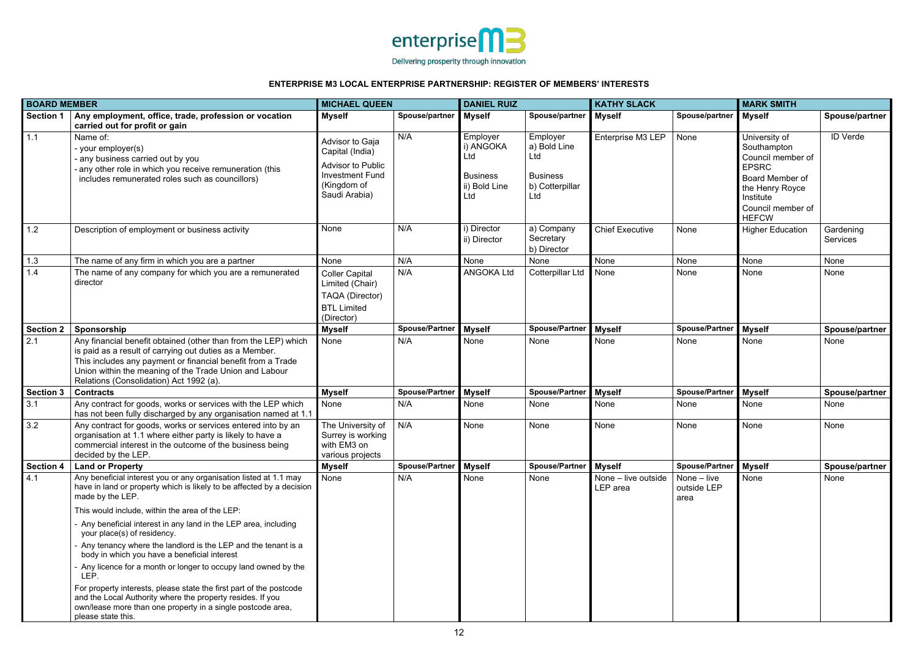

|                  | <b>BOARD MEMBER</b>                                                                                                                                                                                                                                                                           |                                                                                                                          | <b>MICHAEL QUEEN</b>  |                                                                         | <b>DANIEL RUIZ</b>                                                           |                                 | <b>KATHY SLACK</b>                 |                                                                                                                                                           | <b>MARK SMITH</b>            |  |
|------------------|-----------------------------------------------------------------------------------------------------------------------------------------------------------------------------------------------------------------------------------------------------------------------------------------------|--------------------------------------------------------------------------------------------------------------------------|-----------------------|-------------------------------------------------------------------------|------------------------------------------------------------------------------|---------------------------------|------------------------------------|-----------------------------------------------------------------------------------------------------------------------------------------------------------|------------------------------|--|
| <b>Section 1</b> | Any employment, office, trade, profession or vocation<br>carried out for profit or gain                                                                                                                                                                                                       | <b>Myself</b>                                                                                                            | Spouse/partner        | <b>Myself</b>                                                           | Spouse/partner                                                               | <b>Myself</b>                   | Spouse/partner                     | <b>Myself</b>                                                                                                                                             | Spouse/partner               |  |
| 1.1              | Name of:<br>- your employer(s)<br>any business carried out by you<br>- any other role in which you receive remuneration (this<br>includes remunerated roles such as councillors)                                                                                                              | Advisor to Gaja<br>Capital (India)<br><b>Advisor to Public</b><br><b>Investment Fund</b><br>(Kingdom of<br>Saudi Arabia) | N/A                   | Employer<br>i) ANGOKA<br>Ltd<br><b>Business</b><br>ii) Bold Line<br>Ltd | Employer<br>a) Bold Line<br>Ltd<br><b>Business</b><br>b) Cotterpillar<br>Ltd | Enterprise M3 LEP               | None                               | University of<br>Southampton<br>Council member of<br><b>EPSRC</b><br>Board Member of<br>the Henry Royce<br>Institute<br>Council member of<br><b>HEFCW</b> | <b>ID Verde</b>              |  |
| 1.2              | Description of employment or business activity                                                                                                                                                                                                                                                | None                                                                                                                     | N/A                   | i) Director<br>ii) Director                                             | a) Company<br>Secretary<br>b) Director                                       | <b>Chief Executive</b>          | None                               | <b>Higher Education</b>                                                                                                                                   | Gardening<br><b>Services</b> |  |
| 1.3              | The name of any firm in which you are a partner                                                                                                                                                                                                                                               | None                                                                                                                     | N/A                   | None                                                                    | None                                                                         | None                            | None                               | None                                                                                                                                                      | None                         |  |
| 1.4              | The name of any company for which you are a remunerated<br>director                                                                                                                                                                                                                           | <b>Coller Capital</b><br>Limited (Chair)<br><b>TAQA</b> (Director)<br><b>BTL Limited</b><br>(Director)                   | N/A                   | <b>ANGOKA Ltd</b>                                                       | <b>Cotterpillar Ltd</b>                                                      | None                            | None                               | None                                                                                                                                                      | None                         |  |
| <b>Section 2</b> | Sponsorship                                                                                                                                                                                                                                                                                   | <b>Myself</b>                                                                                                            | <b>Spouse/Partner</b> | <b>Myself</b>                                                           | Spouse/Partner                                                               | <b>Myself</b>                   | <b>Spouse/Partner</b>              | <b>Myself</b>                                                                                                                                             | Spouse/partner               |  |
| 2.1              | Any financial benefit obtained (other than from the LEP) which<br>is paid as a result of carrying out duties as a Member.<br>This includes any payment or financial benefit from a Trade<br>Union within the meaning of the Trade Union and Labour<br>Relations (Consolidation) Act 1992 (a). | None                                                                                                                     | N/A                   | None                                                                    | None                                                                         | None                            | None                               | None                                                                                                                                                      | None                         |  |
| <b>Section 3</b> | <b>Contracts</b>                                                                                                                                                                                                                                                                              | <b>Myself</b>                                                                                                            | <b>Spouse/Partner</b> | <b>Myself</b>                                                           | <b>Spouse/Partne</b>                                                         | <b>Myself</b>                   | <b>Spouse/Partner</b>              | <b>Myself</b>                                                                                                                                             | Spouse/partner               |  |
| 3.1              | Any contract for goods, works or services with the LEP which<br>has not been fully discharged by any organisation named at 1.1                                                                                                                                                                | None                                                                                                                     | N/A                   | None                                                                    | None                                                                         | None                            | None                               | None                                                                                                                                                      | None                         |  |
| 3.2              | Any contract for goods, works or services entered into by an<br>organisation at 1.1 where either party is likely to have a<br>commercial interest in the outcome of the business being<br>decided by the LEP.                                                                                 | The University of<br>Surrey is working<br>with EM3 on<br>various projects                                                | N/A                   | None                                                                    | None                                                                         | None                            | None                               | None                                                                                                                                                      | None                         |  |
| <b>Section 4</b> | <b>Land or Property</b>                                                                                                                                                                                                                                                                       | <b>Myself</b>                                                                                                            | Spouse/Partner        | <b>Myself</b>                                                           | <b>Spouse/Partner</b>                                                        | <b>Myself</b>                   | <b>Spouse/Partner</b>              | Myself                                                                                                                                                    | Spouse/partner               |  |
| 4.1              | Any beneficial interest you or any organisation listed at 1.1 may<br>have in land or property which is likely to be affected by a decision<br>made by the LEP.                                                                                                                                | None                                                                                                                     | N/A                   | None                                                                    | None                                                                         | None - live outside<br>LEP area | None – live<br>outside LEP<br>area | None                                                                                                                                                      | None                         |  |
|                  | This would include, within the area of the LEP:                                                                                                                                                                                                                                               |                                                                                                                          |                       |                                                                         |                                                                              |                                 |                                    |                                                                                                                                                           |                              |  |
|                  | - Any beneficial interest in any land in the LEP area, including<br>your place(s) of residency.                                                                                                                                                                                               |                                                                                                                          |                       |                                                                         |                                                                              |                                 |                                    |                                                                                                                                                           |                              |  |
|                  | - Any tenancy where the landlord is the LEP and the tenant is a<br>body in which you have a beneficial interest                                                                                                                                                                               |                                                                                                                          |                       |                                                                         |                                                                              |                                 |                                    |                                                                                                                                                           |                              |  |
|                  | - Any licence for a month or longer to occupy land owned by the<br>LEP.                                                                                                                                                                                                                       |                                                                                                                          |                       |                                                                         |                                                                              |                                 |                                    |                                                                                                                                                           |                              |  |
|                  | For property interests, please state the first part of the postcode<br>and the Local Authority where the property resides. If you<br>own/lease more than one property in a single postcode area,<br>please state this.                                                                        |                                                                                                                          |                       |                                                                         |                                                                              |                                 |                                    |                                                                                                                                                           |                              |  |